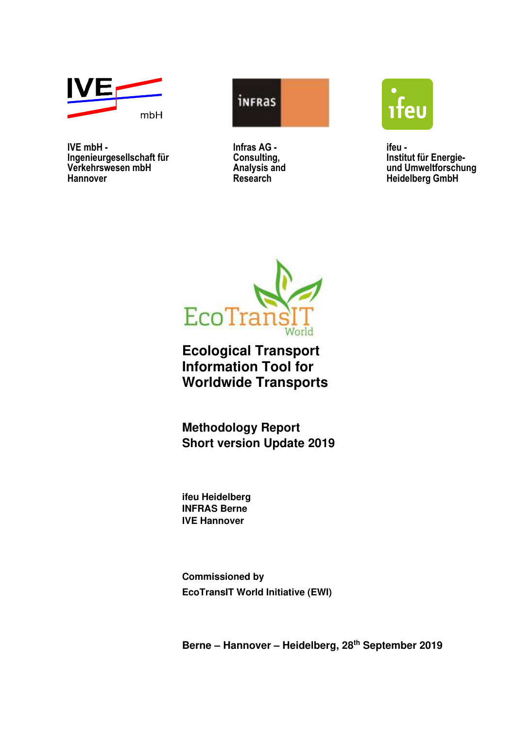

**IVE mbH - ifeu - ifeu - ifeu - ifeu - ifeu - ifeu - ifeu - ifeu - ifeu - ifeu - ifeu - ifeu - ifeu - ifeu - ifeu - ifeu - ifeu - ifeu - ifeu - ifeu - ifeu - ifeu - ifeu - ifeu - ifeu - ifeu - ifeu - ifeu - ifeu - ifeu - i Ingenieurgesellschaft für Consulting, Institut für Energie-Verkehrswesen mbH Analysis and und Umweltforschung**  Hannover Research **Research** Heidelberg GmbH







**Ecological Transport Information Tool for Worldwide Transports** 

**Methodology Report Short version Update 2019** 

**ifeu Heidelberg INFRAS Berne IVE Hannover** 

**Commissioned by EcoTransIT World Initiative (EWI)** 

**Berne – Hannover – Heidelberg, 28th September 2019**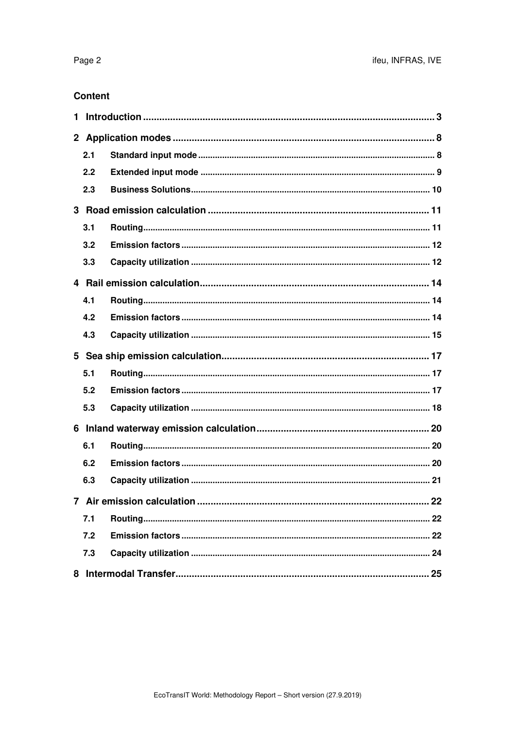#### **Content**

| 2.1 |  |  |  |  |
|-----|--|--|--|--|
| 2.2 |  |  |  |  |
| 2.3 |  |  |  |  |
|     |  |  |  |  |
| 3.1 |  |  |  |  |
| 3.2 |  |  |  |  |
| 3.3 |  |  |  |  |
|     |  |  |  |  |
| 4.1 |  |  |  |  |
| 4.2 |  |  |  |  |
| 4.3 |  |  |  |  |
|     |  |  |  |  |
|     |  |  |  |  |
| 5.1 |  |  |  |  |
| 5.2 |  |  |  |  |
| 5.3 |  |  |  |  |
|     |  |  |  |  |
| 6.1 |  |  |  |  |
| 6.2 |  |  |  |  |
| 6.3 |  |  |  |  |
|     |  |  |  |  |
| 7.1 |  |  |  |  |
| 7.2 |  |  |  |  |
| 7.3 |  |  |  |  |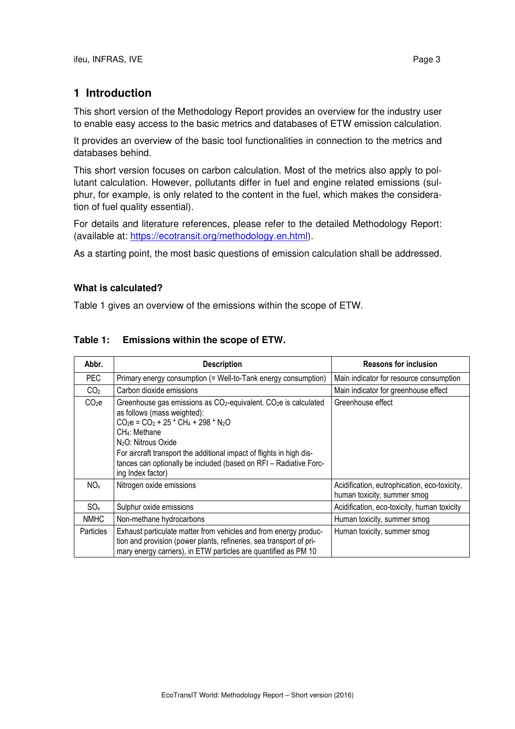# **1 Introduction**

This short version of the Methodology Report provides an overview for the industry user to enable easy access to the basic metrics and databases of ETW emission calculation.

It provides an overview of the basic tool functionalities in connection to the metrics and databases behind.

This short version focuses on carbon calculation. Most of the metrics also apply to pollutant calculation. However, pollutants differ in fuel and engine related emissions (sulphur, for example, is only related to the content in the fuel, which makes the consideration of fuel quality essential).

For details and literature references, please refer to the detailed Methodology Report: (available at: https://ecotransit.org/methodology.en.html).

As a starting point, the most basic questions of emission calculation shall be addressed.

#### **What is calculated?**

Table 1 gives an overview of the emissions within the scope of ETW.

| Abbr.                                                                                                                                                                                                                          | <b>Description</b>                                                                                                                                                                                                                                                                                                                                                                               | <b>Reasons for inclusion</b>                                                |  |
|--------------------------------------------------------------------------------------------------------------------------------------------------------------------------------------------------------------------------------|--------------------------------------------------------------------------------------------------------------------------------------------------------------------------------------------------------------------------------------------------------------------------------------------------------------------------------------------------------------------------------------------------|-----------------------------------------------------------------------------|--|
| PEC.                                                                                                                                                                                                                           | Primary energy consumption (= Well-to-Tank energy consumption)                                                                                                                                                                                                                                                                                                                                   | Main indicator for resource consumption                                     |  |
| CO <sub>2</sub>                                                                                                                                                                                                                | Carbon dioxide emissions                                                                                                                                                                                                                                                                                                                                                                         | Main indicator for greenhouse effect                                        |  |
| CO <sub>2</sub> e                                                                                                                                                                                                              | Greenhouse gas emissions as CO <sub>2</sub> -equivalent. CO <sub>2</sub> e is calculated<br>as follows (mass weighted):<br>$CO2e = CO2 + 25 * CH4 + 298 * N2O$<br>CH <sub>4</sub> : Methane<br>N <sub>2</sub> O: Nitrous Oxide<br>For aircraft transport the additional impact of flights in high dis-<br>tances can optionally be included (based on RFI - Radiative Forc-<br>ing Index factor) | Greenhouse effect                                                           |  |
| NO <sub>x</sub>                                                                                                                                                                                                                | Nitrogen oxide emissions                                                                                                                                                                                                                                                                                                                                                                         | Acidification, eutrophication, eco-toxicity,<br>human toxicity, summer smog |  |
| SO <sub>x</sub>                                                                                                                                                                                                                | Sulphur oxide emissions                                                                                                                                                                                                                                                                                                                                                                          | Acidification, eco-toxicity, human toxicity                                 |  |
| <b>NMHC</b>                                                                                                                                                                                                                    | Non-methane hydrocarbons                                                                                                                                                                                                                                                                                                                                                                         | Human toxicity, summer smog                                                 |  |
| Exhaust particulate matter from vehicles and from energy produc-<br><b>Particles</b><br>tion and provision (power plants, refineries, sea transport of pri-<br>mary energy carriers), in ETW particles are quantified as PM 10 |                                                                                                                                                                                                                                                                                                                                                                                                  | Human toxicity, summer smog                                                 |  |

### **Table 1: Emissions within the scope of ETW.**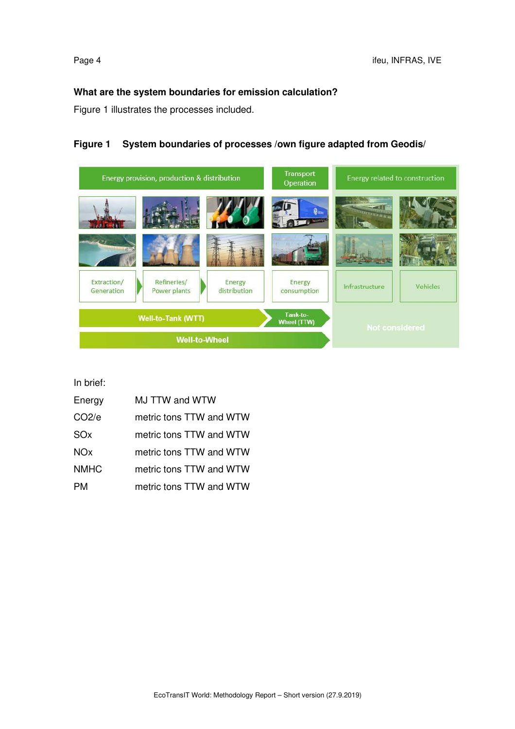#### **What are the system boundaries for emission calculation?**

Figure 1 illustrates the processes included.

#### **Figure 1 System boundaries of processes /own figure adapted from Geodis/**



In brief:

| Energy            | MJ TTW and WTW          |  |  |
|-------------------|-------------------------|--|--|
| CO <sub>2/e</sub> | metric tons TTW and WTW |  |  |
| SOx               | metric tons TTW and WTW |  |  |
| <b>NOx</b>        | metric tons TTW and WTW |  |  |
| <b>NMHC</b>       | metric tons TTW and WTW |  |  |
| PМ                | metric tons TTW and WTW |  |  |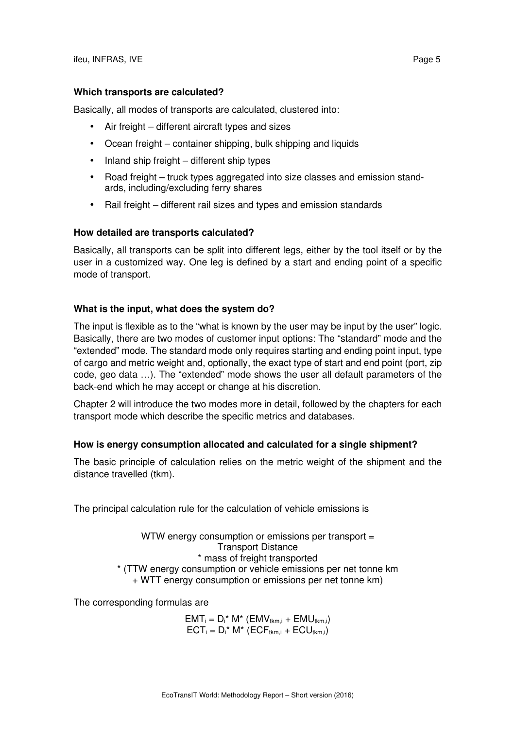#### **Which transports are calculated?**

Basically, all modes of transports are calculated, clustered into:

- Air freight different aircraft types and sizes
- Ocean freight container shipping, bulk shipping and liquids
- Inland ship freight different ship types
- Road freight truck types aggregated into size classes and emission standards, including/excluding ferry shares
- Rail freight different rail sizes and types and emission standards

#### **How detailed are transports calculated?**

Basically, all transports can be split into different legs, either by the tool itself or by the user in a customized way. One leg is defined by a start and ending point of a specific mode of transport.

#### **What is the input, what does the system do?**

The input is flexible as to the "what is known by the user may be input by the user" logic. Basically, there are two modes of customer input options: The "standard" mode and the "extended" mode. The standard mode only requires starting and ending point input, type of cargo and metric weight and, optionally, the exact type of start and end point (port, zip code, geo data …). The "extended" mode shows the user all default parameters of the back-end which he may accept or change at his discretion.

Chapter 2 will introduce the two modes more in detail, followed by the chapters for each transport mode which describe the specific metrics and databases.

#### **How is energy consumption allocated and calculated for a single shipment?**

The basic principle of calculation relies on the metric weight of the shipment and the distance travelled (tkm).

The principal calculation rule for the calculation of vehicle emissions is

WTW energy consumption or emissions per transport = Transport Distance \* mass of freight transported \* (TTW energy consumption or vehicle emissions per net tonne km + WTT energy consumption or emissions per net tonne km)

The corresponding formulas are

 $EMT_i = D_i^* M^* (EMV_{tkm,i} + EMU_{tkm,i})$  $ECT_i = D_i^* M^* (ECT_{tkm,i} + ECU_{tkm,i})$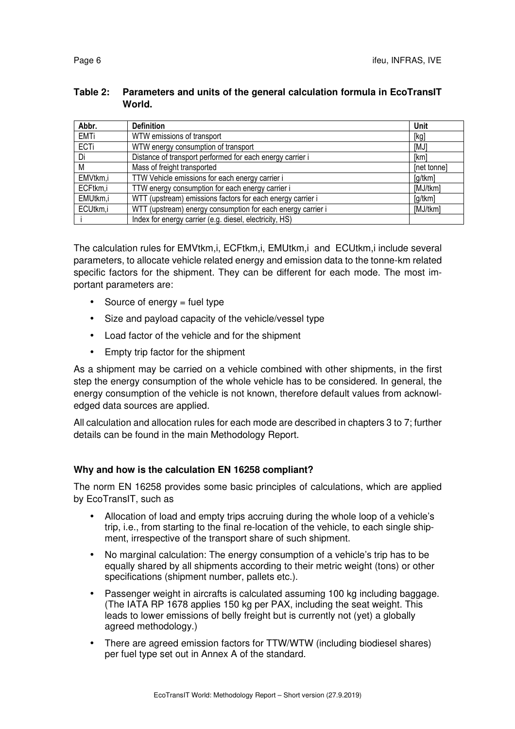#### **Table 2: Parameters and units of the general calculation formula in EcoTransIT World.**

| Abbr.       | <b>Definition</b>                                           | Unit        |
|-------------|-------------------------------------------------------------|-------------|
| <b>EMTi</b> | WTW emissions of transport                                  | [kg]        |
| ECTi        | WTW energy consumption of transport                         | [MJ]        |
| Di          | Distance of transport performed for each energy carrier i   | [km]        |
| М           | Mass of freight transported                                 | [net tonne] |
| EMVtkm,i    | TTW Vehicle emissions for each energy carrier i             | [g/tkm]     |
| ECFtkm,i    | TTW energy consumption for each energy carrier i            | [MJ/tkm]    |
| EMUtkm,i    | WTT (upstream) emissions factors for each energy carrier i  | [g/tkm]     |
| ECUtkm,i    | WTT (upstream) energy consumption for each energy carrier i | [MJ/tkm]    |
|             | Index for energy carrier (e.g. diesel, electricity, HS)     |             |

The calculation rules for EMVtkm,i, ECFtkm,i, EMUtkm,i and ECUtkm,i include several parameters, to allocate vehicle related energy and emission data to the tonne-km related specific factors for the shipment. They can be different for each mode. The most important parameters are:

- Source of energy  $=$  fuel type
- Size and payload capacity of the vehicle/vessel type
- Load factor of the vehicle and for the shipment
- Empty trip factor for the shipment

As a shipment may be carried on a vehicle combined with other shipments, in the first step the energy consumption of the whole vehicle has to be considered. In general, the energy consumption of the vehicle is not known, therefore default values from acknowledged data sources are applied.

All calculation and allocation rules for each mode are described in chapters 3 to 7; further details can be found in the main Methodology Report.

## **Why and how is the calculation EN 16258 compliant?**

The norm EN 16258 provides some basic principles of calculations, which are applied by EcoTransIT, such as

- Allocation of load and empty trips accruing during the whole loop of a vehicle's trip, i.e., from starting to the final re-location of the vehicle, to each single shipment, irrespective of the transport share of such shipment.
- No marginal calculation: The energy consumption of a vehicle's trip has to be equally shared by all shipments according to their metric weight (tons) or other specifications (shipment number, pallets etc.).
- Passenger weight in aircrafts is calculated assuming 100 kg including baggage. (The IATA RP 1678 applies 150 kg per PAX, including the seat weight. This leads to lower emissions of belly freight but is currently not (yet) a globally agreed methodology.)
- There are agreed emission factors for TTW/WTW (including biodiesel shares) per fuel type set out in Annex A of the standard.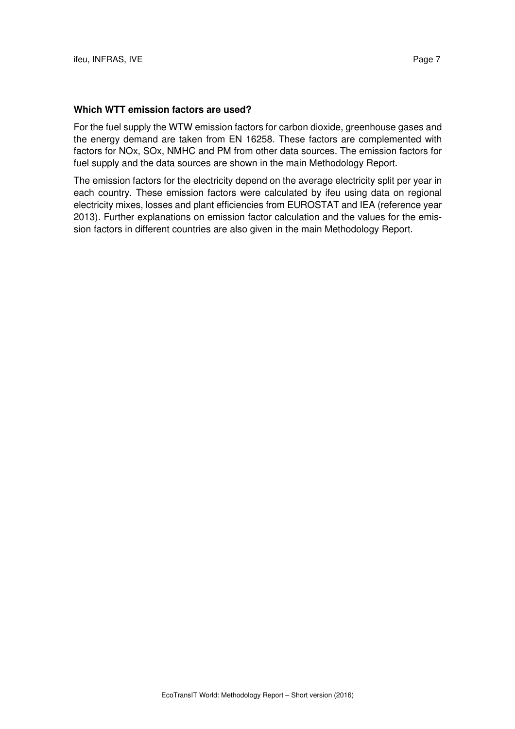#### **Which WTT emission factors are used?**

For the fuel supply the WTW emission factors for carbon dioxide, greenhouse gases and the energy demand are taken from EN 16258. These factors are complemented with factors for NOx, SOx, NMHC and PM from other data sources. The emission factors for fuel supply and the data sources are shown in the main Methodology Report.

The emission factors for the electricity depend on the average electricity split per year in each country. These emission factors were calculated by ifeu using data on regional electricity mixes, losses and plant efficiencies from EUROSTAT and IEA (reference year 2013). Further explanations on emission factor calculation and the values for the emission factors in different countries are also given in the main Methodology Report.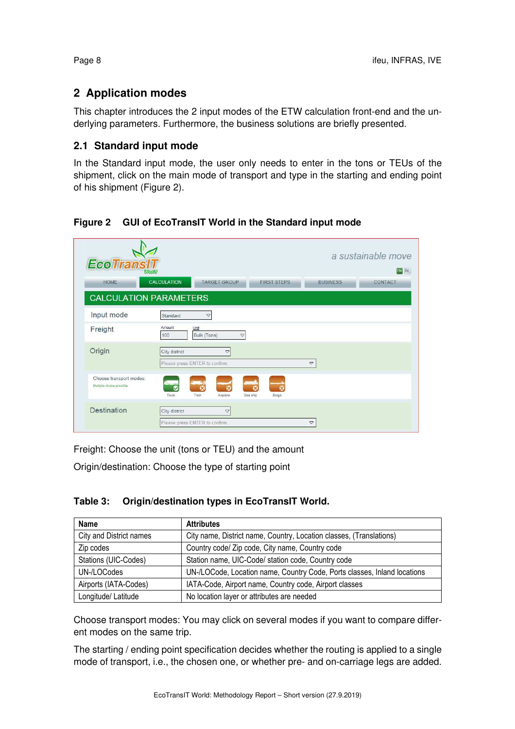# **2 Application modes**

This chapter introduces the 2 input modes of the ETW calculation front-end and the underlying parameters. Furthermore, the business solutions are briefly presented.

## **2.1 Standard input mode**

In the Standard input mode, the user only needs to enter in the tons or TEUs of the shipment, click on the main mode of transport and type in the starting and ending point of his shipment (Figure 2).

## **Figure 2 GUI of EcoTransIT World in the Standard input mode**

| <b>EcoTransIT</b>                                   | a sustainable move<br>EN DE<br><b>World</b>                                                          |
|-----------------------------------------------------|------------------------------------------------------------------------------------------------------|
| <b>HOME</b>                                         | <b>CALCULATION</b><br><b>TARGET GROUP</b><br><b>FIRST STEPS</b><br><b>BUSINESS</b><br>CONTACT        |
|                                                     | <b>CALCULATION PARAMETERS</b>                                                                        |
| Input mode                                          | Standard<br>$\bigtriangledown$                                                                       |
| Freight                                             | Amount<br>Unit<br>Bulk (Tons)<br>100<br>$\boldsymbol{\nabla}$                                        |
| Origin                                              | City district<br>$\bigtriangledown$<br>Please press ENTER to confirm.<br>$\mathbf{\nabla}$           |
| Choose transport modes:<br>Multiple choice possible | $\overline{c}$<br>R<br>×<br>x<br>Truck<br>Train<br>Sea ship<br>Airplane<br>Barge                     |
| Destination                                         | City district<br>$\mathop{\bigtriangledown}$<br>Please press ENTER to confirm.<br>$\bigtriangledown$ |

Freight: Choose the unit (tons or TEU) and the amount

Origin/destination: Choose the type of starting point

| Table 3: | Origin/destination types in EcoTransIT World. |  |  |  |
|----------|-----------------------------------------------|--|--|--|
|----------|-----------------------------------------------|--|--|--|

| Name                    | <b>Attributes</b>                                                        |
|-------------------------|--------------------------------------------------------------------------|
| City and District names | City name, District name, Country, Location classes, (Translations)      |
| Zip codes               | Country code/ Zip code, City name, Country code                          |
| Stations (UIC-Codes)    | Station name, UIC-Code/ station code, Country code                       |
| UN-/LOCodes             | UN-/LOCode, Location name, Country Code, Ports classes, Inland locations |
| Airports (IATA-Codes)   | IATA-Code, Airport name, Country code, Airport classes                   |
| Longitude/ Latitude     | No location layer or attributes are needed                               |

Choose transport modes: You may click on several modes if you want to compare different modes on the same trip.

The starting / ending point specification decides whether the routing is applied to a single mode of transport, i.e., the chosen one, or whether pre- and on-carriage legs are added.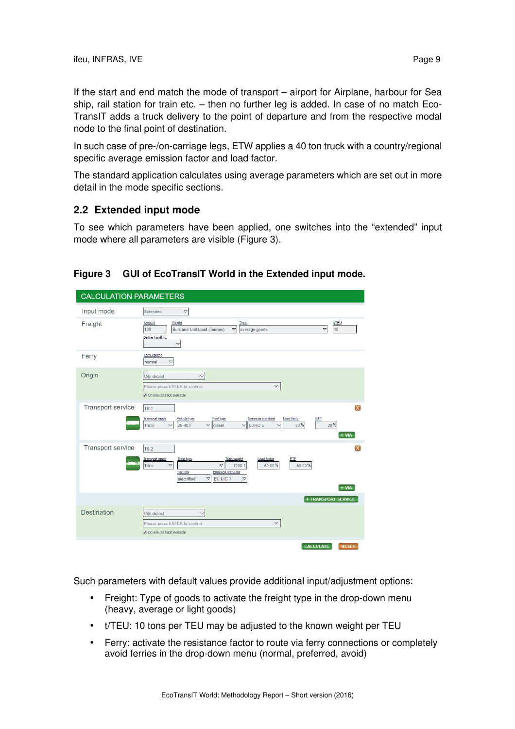If the start and end match the mode of transport – airport for Airplane, harbour for Sea ship, rail station for train etc. – then no further leg is added. In case of no match Eco-TransIT adds a truck delivery to the point of departure and from the respective modal node to the final point of destination.

In such case of pre-/on-carriage legs, ETW applies a 40 ton truck with a country/regional specific average emission factor and load factor.

The standard application calculates using average parameters which are set out in more detail in the mode specific sections.

### **2.2 Extended input mode**

To see which parameters have been applied, one switches into the "extended" input mode where all parameters are visible (Figure 3).

### **Figure 3 GUI of EcoTransIT World in the Extended input mode.**

| <b>CALCULATION PARAMETERS</b> |                                                                                                                                                                                                                                                                                                                                 |
|-------------------------------|---------------------------------------------------------------------------------------------------------------------------------------------------------------------------------------------------------------------------------------------------------------------------------------------------------------------------------|
| Input mode                    | Extended<br>$\mathbf{\nabla}$                                                                                                                                                                                                                                                                                                   |
| Freight                       | Weight<br><b>UTEU</b><br>Amount<br>Type:<br>10<br>$\mathbf{\nabla}$<br>100<br>Bulk and Unit Load (Tonnes)<br>$\triangledown$<br>average goods<br>Define handling:<br>$\mathrel{\triangledown}$                                                                                                                                  |
| Ferry                         | Ferry routing<br>$\mathbf{\nabla}$<br>normal                                                                                                                                                                                                                                                                                    |
| Origin                        | $\blacktriangledown$<br>City district<br>$\mathbf{\nabla}$<br>Please press ENTER to confirm.<br>On-site rail track available                                                                                                                                                                                                    |
| Transport service             | X<br>TS <sub>1</sub><br>Emission standard<br><b>Transport mode</b><br>Vehicle type<br>Fuel type<br>Load factor<br>ETE<br>$\nabla$ EURO 5<br>$\triangledown$<br>$\blacktriangledown$<br>$\triangledown$ diesel<br>20%<br>$26 - 40t$<br>60%<br>Truck<br>$+ V1A$                                                                   |
| Transport service             | X<br>TS <sub>2</sub><br><b>Transport mode</b><br>Train type<br>Train weight<br>Load factor<br>ETF<br>$\overline{\nabla}$<br>Train<br>$\mathord{\triangledown}$<br>1000t<br>60.00%<br>50.00%<br>Traction<br><b>Emission standard</b><br>$\mathrel{\bigtriangledown}$<br>EU UIC 1<br>$\bigtriangledown$<br>electrified<br>$+ VlA$ |
|                               | + TRANSPORT SERVICE                                                                                                                                                                                                                                                                                                             |
| Destination                   | City district<br>$\bigtriangledown$<br>Please press ENTER to confirm.<br>$\blacktriangledown$<br>On-site rail track available                                                                                                                                                                                                   |
|                               | <b>CALCULATE</b><br><b>RESET</b>                                                                                                                                                                                                                                                                                                |

Such parameters with default values provide additional input/adjustment options:

- Freight: Type of goods to activate the freight type in the drop-down menu (heavy, average or light goods)
- t/TEU: 10 tons per TEU may be adjusted to the known weight per TEU
- Ferry: activate the resistance factor to route via ferry connections or completely avoid ferries in the drop-down menu (normal, preferred, avoid)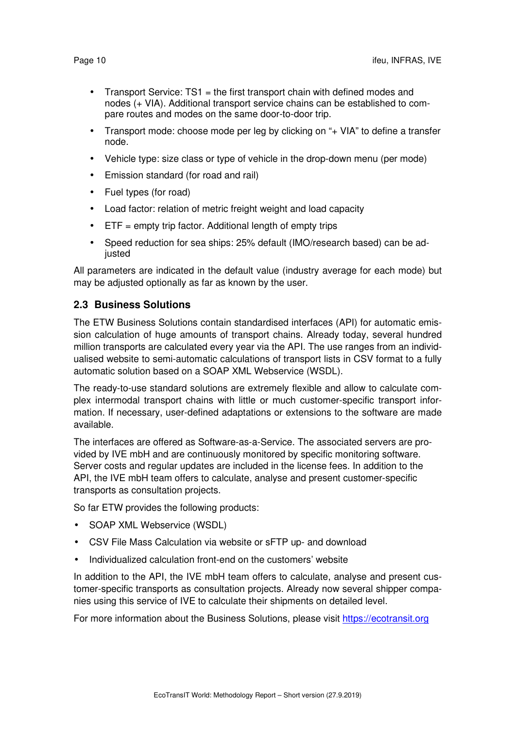- Transport Service: TS1 = the first transport chain with defined modes and nodes (+ VIA). Additional transport service chains can be established to compare routes and modes on the same door-to-door trip.
- Transport mode: choose mode per leg by clicking on "+ VIA" to define a transfer node.
- Vehicle type: size class or type of vehicle in the drop-down menu (per mode)
- Emission standard (for road and rail)
- Fuel types (for road)
- Load factor: relation of metric freight weight and load capacity
- $\bullet$  ETF = empty trip factor. Additional length of empty trips
- Speed reduction for sea ships: 25% default (IMO/research based) can be adjusted

All parameters are indicated in the default value (industry average for each mode) but may be adjusted optionally as far as known by the user.

### **2.3 Business Solutions**

The ETW Business Solutions contain standardised interfaces (API) for automatic emission calculation of huge amounts of transport chains. Already today, several hundred million transports are calculated every year via the API. The use ranges from an individualised website to semi-automatic calculations of transport lists in CSV format to a fully automatic solution based on a SOAP XML Webservice (WSDL).

The ready-to-use standard solutions are extremely flexible and allow to calculate complex intermodal transport chains with little or much customer-specific transport information. If necessary, user-defined adaptations or extensions to the software are made available.

The interfaces are offered as Software-as-a-Service. The associated servers are provided by IVE mbH and are continuously monitored by specific monitoring software. Server costs and regular updates are included in the license fees. In addition to the API, the IVE mbH team offers to calculate, analyse and present customer-specific transports as consultation projects.

So far ETW provides the following products:

- SOAP XML Webservice (WSDL)
- CSV File Mass Calculation via website or sFTP up- and download
- Individualized calculation front-end on the customers' website

In addition to the API, the IVE mbH team offers to calculate, analyse and present customer-specific transports as consultation projects. Already now several shipper companies using this service of IVE to calculate their shipments on detailed level.

For more information about the Business Solutions, please visit https://ecotransit.org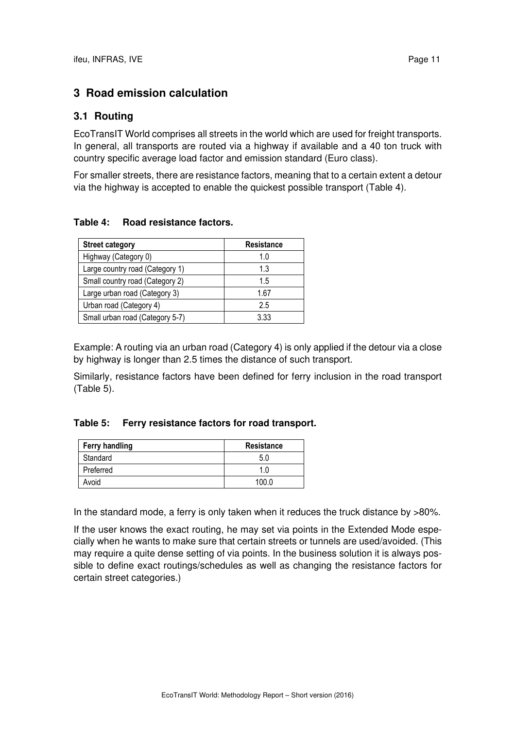# **3 Road emission calculation**

## **3.1 Routing**

EcoTransIT World comprises all streets in the world which are used for freight transports. In general, all transports are routed via a highway if available and a 40 ton truck with country specific average load factor and emission standard (Euro class).

For smaller streets, there are resistance factors, meaning that to a certain extent a detour via the highway is accepted to enable the quickest possible transport (Table 4).

#### **Table 4: Road resistance factors.**

| <b>Street category</b>          | <b>Resistance</b> |
|---------------------------------|-------------------|
| Highway (Category 0)            | 1.0               |
| Large country road (Category 1) | 1.3               |
| Small country road (Category 2) | 1.5               |
| Large urban road (Category 3)   | 1.67              |
| Urban road (Category 4)         | 2.5               |
| Small urban road (Category 5-7) | 3.33              |

Example: A routing via an urban road (Category 4) is only applied if the detour via a close by highway is longer than 2.5 times the distance of such transport.

Similarly, resistance factors have been defined for ferry inclusion in the road transport (Table 5).

#### **Table 5: Ferry resistance factors for road transport.**

| <b>Ferry handling</b> | <b>Resistance</b> |  |
|-----------------------|-------------------|--|
| Standard              | 5.0               |  |
| Preferred             | 1.0               |  |
| Avoid                 | 100 O             |  |

In the standard mode, a ferry is only taken when it reduces the truck distance by >80%.

If the user knows the exact routing, he may set via points in the Extended Mode especially when he wants to make sure that certain streets or tunnels are used/avoided. (This may require a quite dense setting of via points. In the business solution it is always possible to define exact routings/schedules as well as changing the resistance factors for certain street categories.)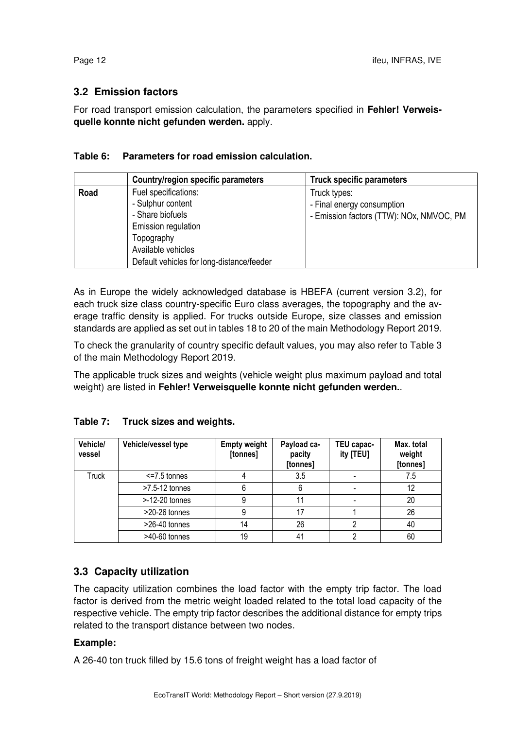## **3.2 Emission factors**

For road transport emission calculation, the parameters specified in **Fehler! Verweisquelle konnte nicht gefunden werden.** apply.

#### **Table 6: Parameters for road emission calculation.**

|      | <b>Country/region specific parameters</b>                                                                                                                             | <b>Truck specific parameters</b>                                                       |
|------|-----------------------------------------------------------------------------------------------------------------------------------------------------------------------|----------------------------------------------------------------------------------------|
| Road | Fuel specifications:<br>- Sulphur content<br>- Share biofuels<br>Emission regulation<br>Topography<br>Available vehicles<br>Default vehicles for long-distance/feeder | Truck types:<br>- Final energy consumption<br>- Emission factors (TTW): NOx, NMVOC, PM |

As in Europe the widely acknowledged database is HBEFA (current version 3.2), for each truck size class country-specific Euro class averages, the topography and the average traffic density is applied. For trucks outside Europe, size classes and emission standards are applied as set out in tables 18 to 20 of the main Methodology Report 2019.

To check the granularity of country specific default values, you may also refer to Table 3 of the main Methodology Report 2019.

The applicable truck sizes and weights (vehicle weight plus maximum payload and total weight) are listed in **Fehler! Verweisquelle konnte nicht gefunden werden.**.

### **Table 7: Truck sizes and weights.**

| Vehicle/<br>vessel | Vehicle/vessel type | <b>Empty weight</b><br>[tonnes] | Payload ca-<br>pacity<br>[tonnes] | TEU capac-<br>ity [TEU] | Max. total<br>weight<br>[tonnes] |
|--------------------|---------------------|---------------------------------|-----------------------------------|-------------------------|----------------------------------|
| <b>Truck</b>       | $\le$ =7.5 tonnes   |                                 | 3.5                               |                         | 7.5                              |
|                    | >7.5-12 tonnes      | 6                               |                                   |                         | 12                               |
|                    | $> -12 - 20$ tonnes | 9                               |                                   |                         | 20                               |
|                    | >20-26 tonnes       | 9                               | 17                                |                         | 26                               |
|                    | >26-40 tonnes       | 14                              | 26                                |                         | 40                               |
|                    | >40-60 tonnes       | 19                              | 41                                |                         | 60                               |

## **3.3 Capacity utilization**

The capacity utilization combines the load factor with the empty trip factor. The load factor is derived from the metric weight loaded related to the total load capacity of the respective vehicle. The empty trip factor describes the additional distance for empty trips related to the transport distance between two nodes.

### **Example:**

A 26-40 ton truck filled by 15.6 tons of freight weight has a load factor of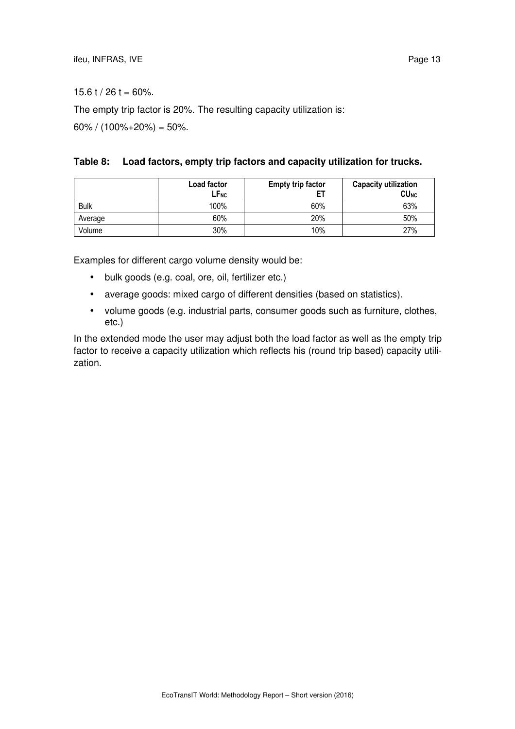$15.6$  t / 26 t = 60%.

The empty trip factor is 20%. The resulting capacity utilization is:

 $60\%$  /  $(100\% + 20\%) = 50\%$ .

|  |  | Table 8: Load factors, empty trip factors and capacity utilization for trucks. |  |  |
|--|--|--------------------------------------------------------------------------------|--|--|
|--|--|--------------------------------------------------------------------------------|--|--|

|             | Load factor<br>LF <sub>NC</sub> | <b>Empty trip factor</b> | <b>Capacity utilization</b><br>CU <sub>NC</sub> |
|-------------|---------------------------------|--------------------------|-------------------------------------------------|
| <b>Bulk</b> | 100%                            | 60%                      | 63%                                             |
| Average     | 60%                             | 20%                      | 50%                                             |
| Volume      | 30%                             | 10%                      | 27%                                             |

Examples for different cargo volume density would be:

- bulk goods (e.g. coal, ore, oil, fertilizer etc.)
- average goods: mixed cargo of different densities (based on statistics).
- volume goods (e.g. industrial parts, consumer goods such as furniture, clothes, etc.)

In the extended mode the user may adjust both the load factor as well as the empty trip factor to receive a capacity utilization which reflects his (round trip based) capacity utilization.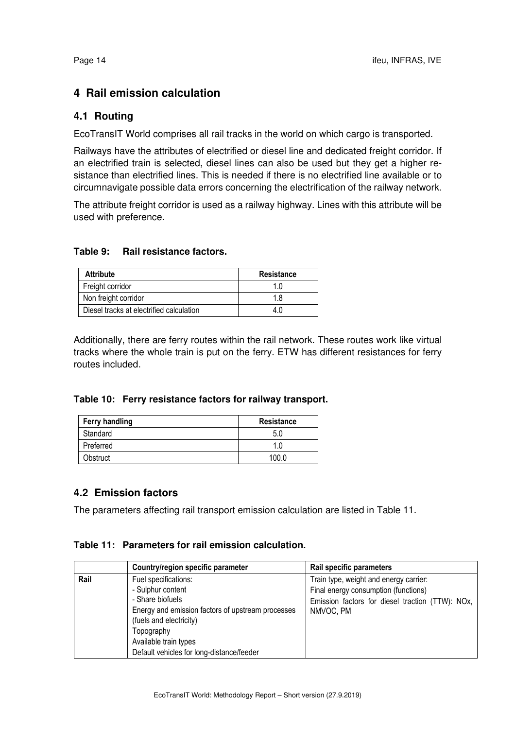# **4 Rail emission calculation**

## **4.1 Routing**

EcoTransIT World comprises all rail tracks in the world on which cargo is transported.

Railways have the attributes of electrified or diesel line and dedicated freight corridor. If an electrified train is selected, diesel lines can also be used but they get a higher resistance than electrified lines. This is needed if there is no electrified line available or to circumnavigate possible data errors concerning the electrification of the railway network.

The attribute freight corridor is used as a railway highway. Lines with this attribute will be used with preference.

#### **Table 9: Rail resistance factors.**

| <b>Attribute</b>                         | <b>Resistance</b> |
|------------------------------------------|-------------------|
| Freight corridor                         | 1.0               |
| Non freight corridor                     | 1.8               |
| Diesel tracks at electrified calculation | 4 (               |

Additionally, there are ferry routes within the rail network. These routes work like virtual tracks where the whole train is put on the ferry. ETW has different resistances for ferry routes included.

#### **Table 10: Ferry resistance factors for railway transport.**

| <b>Ferry handling</b> | <b>Resistance</b> |
|-----------------------|-------------------|
| Standard              | 5.C               |
| Preferred             | 1.0               |
| Obstruct              | 100.0             |

### **4.2 Emission factors**

The parameters affecting rail transport emission calculation are listed in Table 11.

#### **Table 11: Parameters for rail emission calculation.**

|      | Country/region specific parameter                                                                                                                                                                                                 | Rail specific parameters                                                                                                                        |
|------|-----------------------------------------------------------------------------------------------------------------------------------------------------------------------------------------------------------------------------------|-------------------------------------------------------------------------------------------------------------------------------------------------|
| Rail | Fuel specifications:<br>- Sulphur content<br>- Share biofuels<br>Energy and emission factors of upstream processes<br>(fuels and electricity)<br>Topography<br>Available train types<br>Default vehicles for long-distance/feeder | Train type, weight and energy carrier:<br>Final energy consumption (functions)<br>Emission factors for diesel traction (TTW): NOx,<br>NMVOC, PM |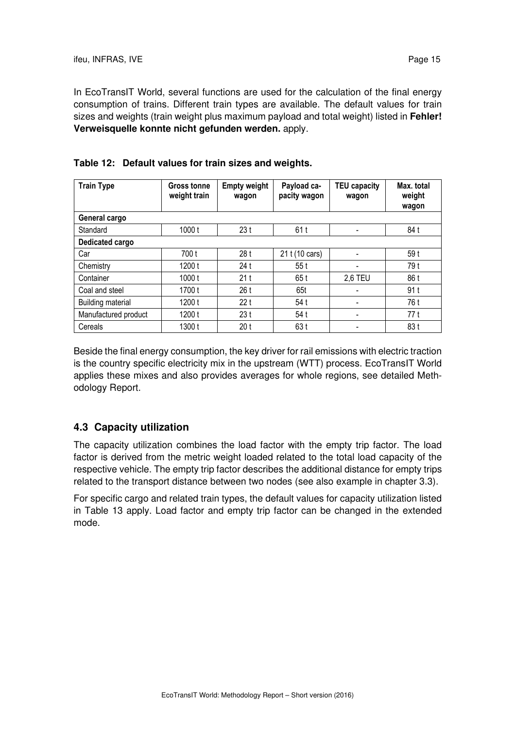In EcoTransIT World, several functions are used for the calculation of the final energy consumption of trains. Different train types are available. The default values for train sizes and weights (train weight plus maximum payload and total weight) listed in **Fehler! Verweisquelle konnte nicht gefunden werden.** apply.

| <b>Train Type</b>    | Gross tonne<br>weight train | <b>Empty weight</b><br>wagon | Payload ca-<br>pacity wagon | <b>TEU capacity</b><br>wagon | Max. total<br>weight<br>wagon |
|----------------------|-----------------------------|------------------------------|-----------------------------|------------------------------|-------------------------------|
| General cargo        |                             |                              |                             |                              |                               |
| Standard             | 1000t                       | 23t                          | 61 t                        |                              | 84 t                          |
| Dedicated cargo      |                             |                              |                             |                              |                               |
| Car                  | 700 t                       | 28t                          | 21 t (10 cars)              |                              | 59 t                          |
| Chemistry            | 1200 t                      | 24 t                         | 55t                         |                              | 79 t                          |
| Container            | 1000 t                      | 21t                          | 65 t                        | 2,6 TEU                      | 86 t                          |
| Coal and steel       | 1700 t                      | 26 t                         | 65t                         |                              | 91t                           |
| Building material    | 1200 t                      | 22t                          | 54 t                        |                              | 76 t                          |
| Manufactured product | 1200 t                      | 23t                          | 54 t                        |                              | 77 t                          |
| Cereals              | 1300 t                      | 20 <sub>t</sub>              | 63 t                        |                              | 83 t                          |

|  | Table 12: Default values for train sizes and weights. |  |  |
|--|-------------------------------------------------------|--|--|
|--|-------------------------------------------------------|--|--|

Beside the final energy consumption, the key driver for rail emissions with electric traction is the country specific electricity mix in the upstream (WTT) process. EcoTransIT World applies these mixes and also provides averages for whole regions, see detailed Methodology Report.

## **4.3 Capacity utilization**

The capacity utilization combines the load factor with the empty trip factor. The load factor is derived from the metric weight loaded related to the total load capacity of the respective vehicle. The empty trip factor describes the additional distance for empty trips related to the transport distance between two nodes (see also example in chapter 3.3).

For specific cargo and related train types, the default values for capacity utilization listed in Table 13 apply. Load factor and empty trip factor can be changed in the extended mode.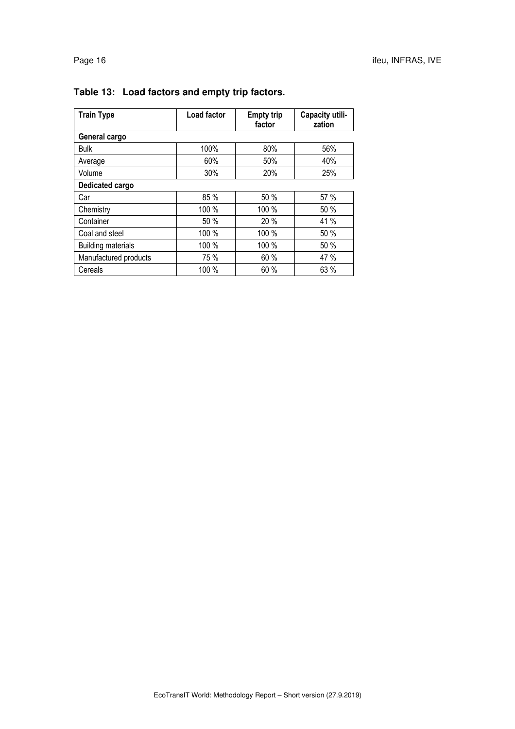| <b>Train Type</b>         | Load factor | <b>Empty trip</b><br>factor | Capacity utili-<br>zation |
|---------------------------|-------------|-----------------------------|---------------------------|
| General cargo             |             |                             |                           |
| <b>Bulk</b>               | 100%        | 80%                         | 56%                       |
| Average                   | 60%         | 50%                         | 40%                       |
| Volume                    | 30%         | 20%                         | 25%                       |
| Dedicated cargo           |             |                             |                           |
| Car                       | 85 %        | 50 %                        | 57 %                      |
| Chemistry                 | 100 %       | 100 %                       | 50 %                      |
| Container                 | 50 %        | 20 %                        | 41 %                      |
| Coal and steel            | 100 %       | 100 %                       | 50 %                      |
| <b>Building materials</b> | 100 %       | 100 %                       | 50%                       |
| Manufactured products     | 75 %        | 60 %                        | 47 %                      |
| Cereals                   | 100 %       | 60 %                        | 63 %                      |

# **Table 13: Load factors and empty trip factors.**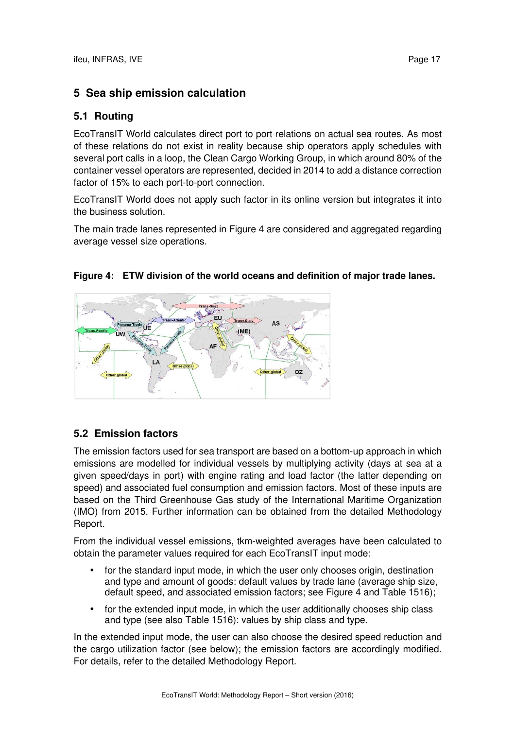# **5 Sea ship emission calculation**

## **5.1 Routing**

EcoTransIT World calculates direct port to port relations on actual sea routes. As most of these relations do not exist in reality because ship operators apply schedules with several port calls in a loop, the Clean Cargo Working Group, in which around 80% of the container vessel operators are represented, decided in 2014 to add a distance correction factor of 15% to each port-to-port connection.

EcoTransIT World does not apply such factor in its online version but integrates it into the business solution.

The main trade lanes represented in Figure 4 are considered and aggregated regarding average vessel size operations.

### **Figure 4: ETW division of the world oceans and definition of major trade lanes.**



# **5.2 Emission factors**

The emission factors used for sea transport are based on a bottom-up approach in which emissions are modelled for individual vessels by multiplying activity (days at sea at a given speed/days in port) with engine rating and load factor (the latter depending on speed) and associated fuel consumption and emission factors. Most of these inputs are based on the Third Greenhouse Gas study of the International Maritime Organization (IMO) from 2015. Further information can be obtained from the detailed Methodology Report.

From the individual vessel emissions, tkm-weighted averages have been calculated to obtain the parameter values required for each EcoTransIT input mode:

- for the standard input mode, in which the user only chooses origin, destination and type and amount of goods: default values by trade lane (average ship size, default speed, and associated emission factors; see Figure 4 and Table 1516);
- for the extended input mode, in which the user additionally chooses ship class and type (see also Table 1516): values by ship class and type.

In the extended input mode, the user can also choose the desired speed reduction and the cargo utilization factor (see below); the emission factors are accordingly modified. For details, refer to the detailed Methodology Report.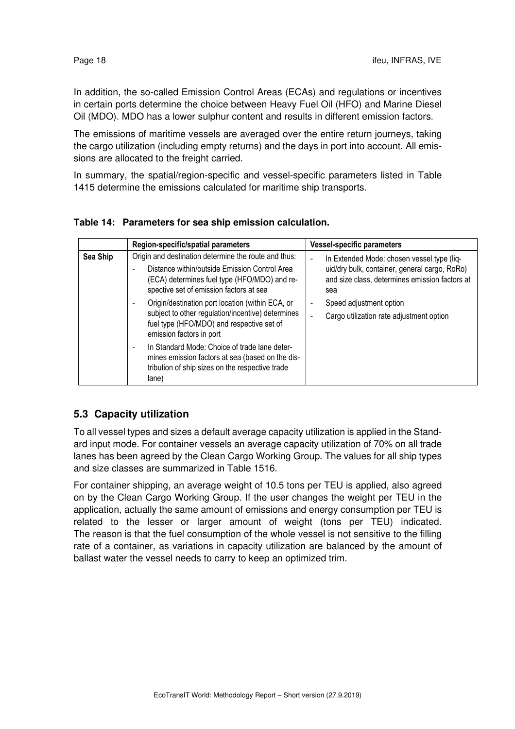In addition, the so-called Emission Control Areas (ECAs) and regulations or incentives in certain ports determine the choice between Heavy Fuel Oil (HFO) and Marine Diesel Oil (MDO). MDO has a lower sulphur content and results in different emission factors.

The emissions of maritime vessels are averaged over the entire return journeys, taking the cargo utilization (including empty returns) and the days in port into account. All emissions are allocated to the freight carried.

In summary, the spatial/region-specific and vessel-specific parameters listed in Table 1415 determine the emissions calculated for maritime ship transports.

|          | Region-specific/spatial parameters                                                                                                                                                               | <b>Vessel-specific parameters</b>                                                                                                                    |
|----------|--------------------------------------------------------------------------------------------------------------------------------------------------------------------------------------------------|------------------------------------------------------------------------------------------------------------------------------------------------------|
| Sea Ship | Origin and destination determine the route and thus:<br>Distance within/outside Emission Control Area<br>(ECA) determines fuel type (HFO/MDO) and re-<br>spective set of emission factors at sea | In Extended Mode: chosen vessel type (liq-<br>uid/dry bulk, container, general cargo, RoRo)<br>and size class, determines emission factors at<br>sea |
|          | Origin/destination port location (within ECA, or<br>subject to other regulation/incentive) determines<br>fuel type (HFO/MDO) and respective set of<br>emission factors in port                   | Speed adjustment option<br>$\overline{\phantom{a}}$<br>Cargo utilization rate adjustment option                                                      |
|          | In Standard Mode: Choice of trade lane deter-<br>mines emission factors at sea (based on the dis-<br>tribution of ship sizes on the respective trade<br>lane)                                    |                                                                                                                                                      |

#### **Table 14: Parameters for sea ship emission calculation.**

## **5.3 Capacity utilization**

To all vessel types and sizes a default average capacity utilization is applied in the Standard input mode. For container vessels an average capacity utilization of 70% on all trade lanes has been agreed by the Clean Cargo Working Group. The values for all ship types and size classes are summarized in Table 1516.

For container shipping, an average weight of 10.5 tons per TEU is applied, also agreed on by the Clean Cargo Working Group. If the user changes the weight per TEU in the application, actually the same amount of emissions and energy consumption per TEU is related to the lesser or larger amount of weight (tons per TEU) indicated. The reason is that the fuel consumption of the whole vessel is not sensitive to the filling rate of a container, as variations in capacity utilization are balanced by the amount of ballast water the vessel needs to carry to keep an optimized trim.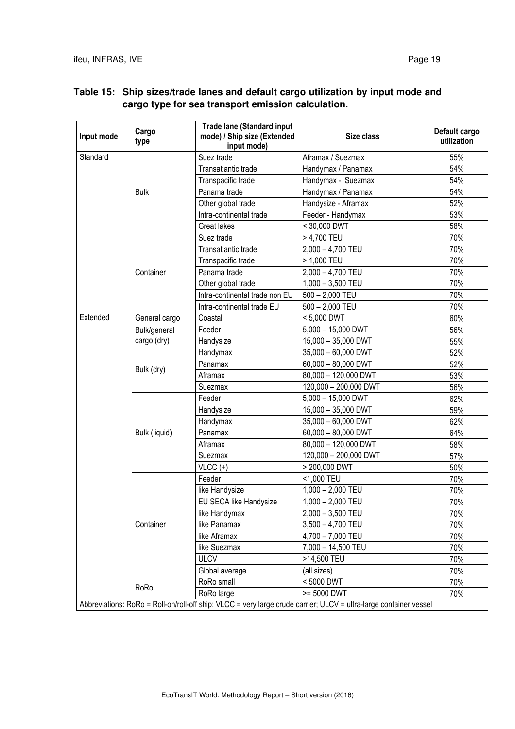| Input mode | Cargo<br>type | <b>Trade lane (Standard input</b><br>mode) / Ship size (Extended<br>input mode) | Size class                                                                                                        | Default cargo<br>utilization |
|------------|---------------|---------------------------------------------------------------------------------|-------------------------------------------------------------------------------------------------------------------|------------------------------|
| Standard   |               | Suez trade                                                                      | Aframax / Suezmax                                                                                                 | 55%                          |
|            |               | Transatlantic trade                                                             | Handymax / Panamax                                                                                                | 54%                          |
|            |               | Transpacific trade                                                              | Handymax - Suezmax                                                                                                | 54%                          |
|            | <b>Bulk</b>   | Panama trade                                                                    | Handymax / Panamax                                                                                                | 54%                          |
|            |               | Other global trade                                                              | Handysize - Aframax                                                                                               | 52%                          |
|            |               | Intra-continental trade                                                         | Feeder - Handymax                                                                                                 | 53%                          |
|            |               | <b>Great lakes</b>                                                              | < 30,000 DWT                                                                                                      | 58%                          |
|            |               | Suez trade                                                                      | > 4,700 TEU                                                                                                       | 70%                          |
|            |               | Transatlantic trade                                                             | $2,000 - 4,700$ TEU                                                                                               | 70%                          |
|            |               | Transpacific trade                                                              | > 1,000 TEU                                                                                                       | 70%                          |
|            | Container     | Panama trade                                                                    | $2,000 - 4,700$ TEU                                                                                               | 70%                          |
|            |               | Other global trade                                                              | $1,000 - 3,500$ TEU                                                                                               | 70%                          |
|            |               | Intra-continental trade non EU                                                  | $500 - 2,000$ TEU                                                                                                 | 70%                          |
|            |               | Intra-continental trade EU                                                      | $500 - 2,000$ TEU                                                                                                 | 70%                          |
| Extended   | General cargo | Coastal                                                                         | < 5,000 DWT                                                                                                       | 60%                          |
|            | Bulk/general  | Feeder                                                                          | $5,000 - 15,000$ DWT                                                                                              | 56%                          |
|            | cargo (dry)   | Handysize                                                                       | 15,000 - 35,000 DWT                                                                                               | 55%                          |
|            | Bulk (dry)    | Handymax                                                                        | 35,000 - 60,000 DWT                                                                                               | 52%                          |
|            |               | Panamax                                                                         | $60,000 - 80,000$ DWT                                                                                             | 52%                          |
|            |               | Aframax                                                                         | 80,000 - 120,000 DWT                                                                                              | 53%                          |
|            |               | Suezmax                                                                         | 120,000 - 200,000 DWT                                                                                             | 56%                          |
|            |               | Feeder                                                                          | $5,000 - 15,000$ DWT                                                                                              | 62%                          |
|            |               | Handysize                                                                       | 15,000 - 35,000 DWT                                                                                               | 59%                          |
|            |               | Handymax                                                                        | 35,000 - 60,000 DWT                                                                                               | 62%                          |
|            | Bulk (liquid) | Panamax                                                                         | $60,000 - 80,000$ DWT                                                                                             | 64%                          |
|            |               | Aframax                                                                         | 80,000 - 120,000 DWT                                                                                              | 58%                          |
|            |               | Suezmax                                                                         | 120,000 - 200,000 DWT                                                                                             | 57%                          |
|            |               | $VLCC (+)$                                                                      | > 200,000 DWT                                                                                                     | 50%                          |
|            |               | Feeder                                                                          | <1,000 TEU                                                                                                        | 70%                          |
|            |               | like Handysize                                                                  | $1,000 - 2,000$ TEU                                                                                               | 70%                          |
|            |               | EU SECA like Handysize                                                          | $1,000 - 2,000$ TEU                                                                                               | 70%                          |
|            |               | like Handymax                                                                   | $2,000 - 3,500$ TEU                                                                                               | 70%                          |
|            | Container     | like Panamax                                                                    | $3,500 - 4,700$ TEU                                                                                               | 70%                          |
|            |               | like Aframax                                                                    | $4,700 - 7,000$ TEU                                                                                               | 70%                          |
|            |               | like Suezmax                                                                    | 7,000 - 14,500 TEU                                                                                                | 70%                          |
|            |               | <b>ULCV</b>                                                                     | >14,500 TEU                                                                                                       | 70%                          |
|            |               | Global average                                                                  | (all sizes)                                                                                                       | 70%                          |
|            |               | RoRo small                                                                      | < 5000 DWT                                                                                                        | 70%                          |
|            | RoRo          | RoRo large                                                                      | >= 5000 DWT                                                                                                       | 70%                          |
|            |               |                                                                                 | Abbreviations: RoRo = Roll-on/roll-off ship; VLCC = very large crude carrier; ULCV = ultra-large container vessel |                              |

## **Table 15: Ship sizes/trade lanes and default cargo utilization by input mode and cargo type for sea transport emission calculation.**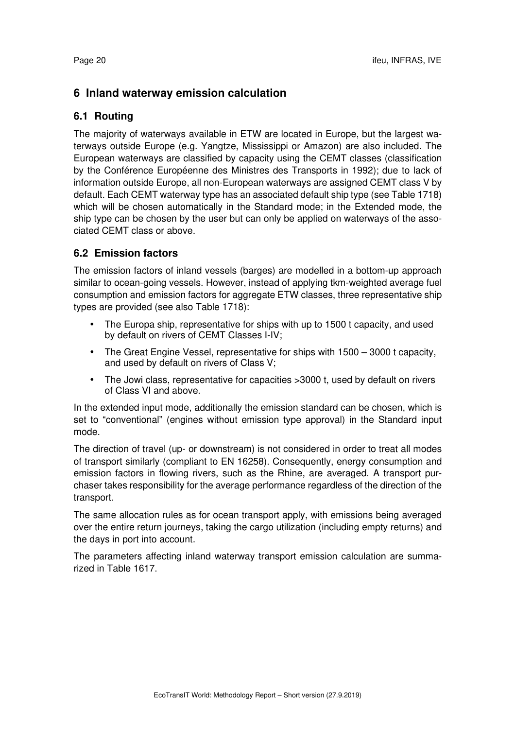# **6 Inland waterway emission calculation**

## **6.1 Routing**

The majority of waterways available in ETW are located in Europe, but the largest waterways outside Europe (e.g. Yangtze, Mississippi or Amazon) are also included. The European waterways are classified by capacity using the CEMT classes (classification by the Conférence Européenne des Ministres des Transports in 1992); due to lack of information outside Europe, all non-European waterways are assigned CEMT class V by default. Each CEMT waterway type has an associated default ship type (see Table 1718) which will be chosen automatically in the Standard mode; in the Extended mode, the ship type can be chosen by the user but can only be applied on waterways of the associated CEMT class or above.

## **6.2 Emission factors**

The emission factors of inland vessels (barges) are modelled in a bottom-up approach similar to ocean-going vessels. However, instead of applying tkm-weighted average fuel consumption and emission factors for aggregate ETW classes, three representative ship types are provided (see also Table 1718):

- The Europa ship, representative for ships with up to 1500 t capacity, and used by default on rivers of CEMT Classes I-IV;
- The Great Engine Vessel, representative for ships with 1500 3000 t capacity. and used by default on rivers of Class V;
- The Jowi class, representative for capacities >3000 t, used by default on rivers of Class VI and above.

In the extended input mode, additionally the emission standard can be chosen, which is set to "conventional" (engines without emission type approval) in the Standard input mode.

The direction of travel (up- or downstream) is not considered in order to treat all modes of transport similarly (compliant to EN 16258). Consequently, energy consumption and emission factors in flowing rivers, such as the Rhine, are averaged. A transport purchaser takes responsibility for the average performance regardless of the direction of the transport.

The same allocation rules as for ocean transport apply, with emissions being averaged over the entire return journeys, taking the cargo utilization (including empty returns) and the days in port into account.

The parameters affecting inland waterway transport emission calculation are summarized in Table 1617.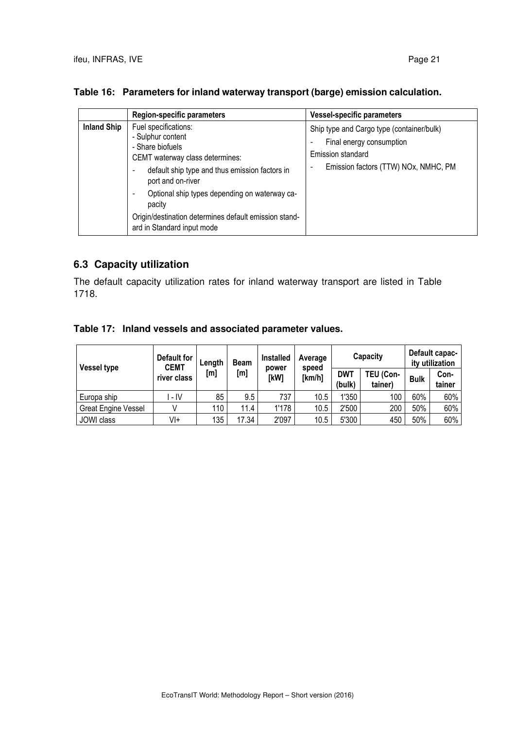|                    | <b>Region-specific parameters</b>                                                                                                                                                                                                                                                                                         | <b>Vessel-specific parameters</b>                                                                                                  |
|--------------------|---------------------------------------------------------------------------------------------------------------------------------------------------------------------------------------------------------------------------------------------------------------------------------------------------------------------------|------------------------------------------------------------------------------------------------------------------------------------|
| <b>Inland Ship</b> | Fuel specifications:<br>- Sulphur content<br>- Share biofuels<br>CEMT waterway class determines:<br>default ship type and thus emission factors in<br>port and on-river<br>Optional ship types depending on waterway ca-<br>pacity<br>Origin/destination determines default emission stand-<br>ard in Standard input mode | Ship type and Cargo type (container/bulk)<br>Final energy consumption<br>Emission standard<br>Emission factors (TTW) NOx, NMHC, PM |

## **Table 16: Parameters for inland waterway transport (barge) emission calculation.**

# **6.3 Capacity utilization**

The default capacity utilization rates for inland waterway transport are listed in Table 1718.

|  | Table 17: Inland vessels and associated parameter values. |  |  |
|--|-----------------------------------------------------------|--|--|
|--|-----------------------------------------------------------|--|--|

| <b>Vessel type</b>  | Default for<br><b>CEMT</b> | Length | <b>Beam</b> | <b>Installed</b><br>power | Average<br>speed | Capacity             |                      | Default capac-<br>ity utilization |                |
|---------------------|----------------------------|--------|-------------|---------------------------|------------------|----------------------|----------------------|-----------------------------------|----------------|
|                     | river class                | [m]    | [m]         | [kW]                      | [km/h]           | <b>DWT</b><br>(bulk) | TEU (Con-<br>tainer) | <b>Bulk</b>                       | Con-<br>tainer |
| Europa ship         | - IV                       | 85     | 9.5         | 737                       | 10.5             | 1'350                | 100                  | 60%                               | 60%            |
| Great Engine Vessel |                            | 110    | 11.4        | 1'178                     | 10.5             | 2'500                | 200                  | 50%                               | 60%            |
| JOWI class          | Vŀ                         | 135    | 17.34       | 2'097                     | 10.5             | 5'300                | 450                  | 50%                               | 60%            |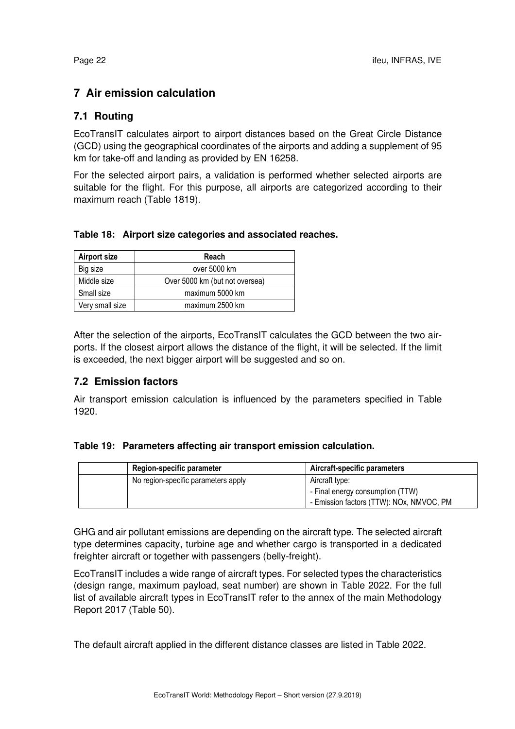# **7 Air emission calculation**

# **7.1 Routing**

EcoTransIT calculates airport to airport distances based on the Great Circle Distance (GCD) using the geographical coordinates of the airports and adding a supplement of 95 km for take-off and landing as provided by EN 16258.

For the selected airport pairs, a validation is performed whether selected airports are suitable for the flight. For this purpose, all airports are categorized according to their maximum reach (Table 1819).

#### **Table 18: Airport size categories and associated reaches.**

| <b>Airport size</b> | Reach                          |
|---------------------|--------------------------------|
| Big size            | over 5000 km                   |
| Middle size         | Over 5000 km (but not oversea) |
| Small size          | maximum 5000 km                |
| Very small size     | maximum 2500 km                |

After the selection of the airports, EcoTransIT calculates the GCD between the two airports. If the closest airport allows the distance of the flight, it will be selected. If the limit is exceeded, the next bigger airport will be suggested and so on.

## **7.2 Emission factors**

Air transport emission calculation is influenced by the parameters specified in Table 1920.

#### **Table 19: Parameters affecting air transport emission calculation.**

| Region-specific parameter           | Aircraft-specific parameters             |  |  |
|-------------------------------------|------------------------------------------|--|--|
| No region-specific parameters apply | Aircraft type:                           |  |  |
|                                     | - Final energy consumption (TTW)         |  |  |
|                                     | - Emission factors (TTW): NOx, NMVOC, PM |  |  |

GHG and air pollutant emissions are depending on the aircraft type. The selected aircraft type determines capacity, turbine age and whether cargo is transported in a dedicated freighter aircraft or together with passengers (belly-freight).

EcoTransIT includes a wide range of aircraft types. For selected types the characteristics (design range, maximum payload, seat number) are shown in Table 2022. For the full list of available aircraft types in EcoTransIT refer to the annex of the main Methodology Report 2017 (Table 50).

The default aircraft applied in the different distance classes are listed in Table 2022.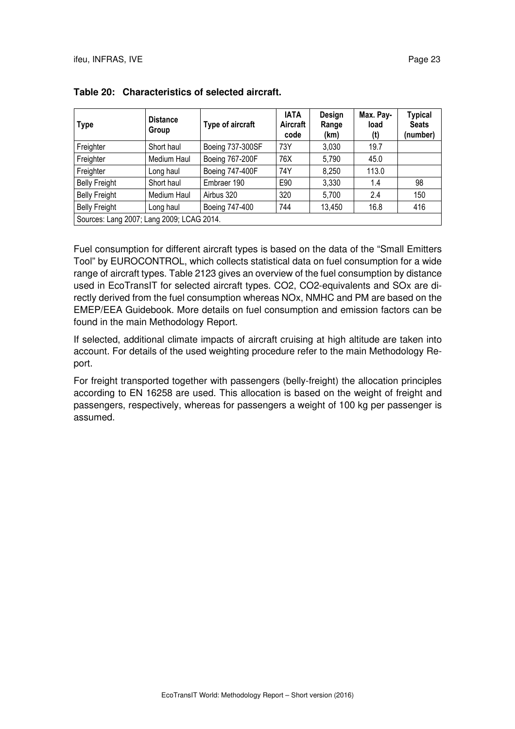| <b>Type</b>                                                                         | <b>Distance</b><br>Group | Type of aircraft       | <b>IATA</b><br>Aircraft<br>code | Design<br>Range<br>(km) | Max. Pay-<br>load<br>(t) | <b>Typical</b><br><b>Seats</b><br>(number) |
|-------------------------------------------------------------------------------------|--------------------------|------------------------|---------------------------------|-------------------------|--------------------------|--------------------------------------------|
| Freighter                                                                           | Short haul               | Boeing 737-300SF       | 73Y                             | 3,030                   | 19.7                     |                                            |
| Freighter                                                                           | Medium Haul              | Boeing 767-200F        | 76X                             | 5,790                   | 45.0                     |                                            |
| Freighter                                                                           | Long haul                | <b>Boeing 747-400F</b> | 74Y                             | 8,250                   | 113.0                    |                                            |
| <b>Belly Freight</b>                                                                | Short haul               | Embraer 190            | E90                             | 3,330                   | 1.4                      | 98                                         |
| <b>Belly Freight</b>                                                                | Medium Haul              | Airbus 320             | 320                             | 5,700                   | 2.4                      | 150                                        |
| <b>Belly Freight</b><br>416<br>Boeing 747-400<br>744<br>13,450<br>16.8<br>Long haul |                          |                        |                                 |                         |                          |                                            |
| Sources: Lang 2007; Lang 2009; LCAG 2014.                                           |                          |                        |                                 |                         |                          |                                            |

| Table 20: Characteristics of selected aircraft. |  |  |
|-------------------------------------------------|--|--|
|-------------------------------------------------|--|--|

Fuel consumption for different aircraft types is based on the data of the "Small Emitters Tool" by EUROCONTROL, which collects statistical data on fuel consumption for a wide range of aircraft types. Table 2123 gives an overview of the fuel consumption by distance used in EcoTransIT for selected aircraft types. CO2, CO2-equivalents and SOx are directly derived from the fuel consumption whereas NOx, NMHC and PM are based on the EMEP/EEA Guidebook. More details on fuel consumption and emission factors can be found in the main Methodology Report.

If selected, additional climate impacts of aircraft cruising at high altitude are taken into account. For details of the used weighting procedure refer to the main Methodology Report.

For freight transported together with passengers (belly-freight) the allocation principles according to EN 16258 are used. This allocation is based on the weight of freight and passengers, respectively, whereas for passengers a weight of 100 kg per passenger is assumed.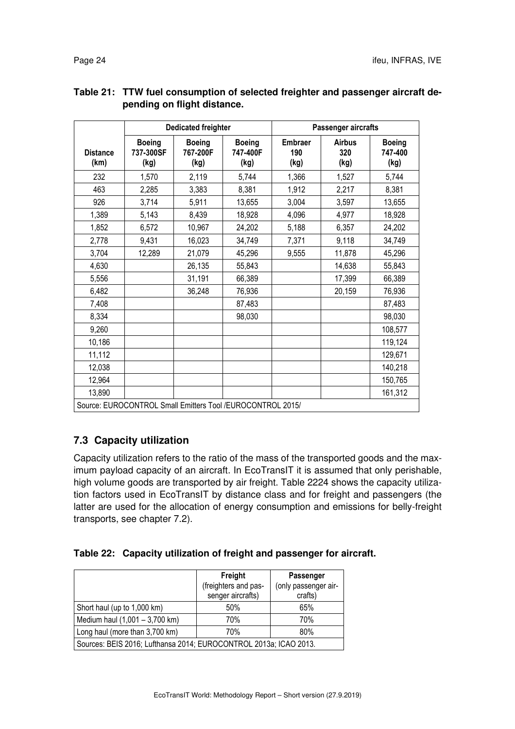|                         | <b>Dedicated freighter</b>                                 |                                   | Passenger aircrafts               |                               |                              |                                  |
|-------------------------|------------------------------------------------------------|-----------------------------------|-----------------------------------|-------------------------------|------------------------------|----------------------------------|
| <b>Distance</b><br>(km) | <b>Boeing</b><br>737-300SF<br>(kg)                         | <b>Boeing</b><br>767-200F<br>(kg) | <b>Boeing</b><br>747-400F<br>(kg) | <b>Embraer</b><br>190<br>(kg) | <b>Airbus</b><br>320<br>(kg) | <b>Boeing</b><br>747-400<br>(kg) |
| 232                     | 1,570                                                      | 2,119                             | 5,744                             | 1,366                         | 1,527                        | 5,744                            |
| 463                     | 2,285                                                      | 3,383                             | 8,381                             | 1,912                         | 2,217                        | 8,381                            |
| 926                     | 3,714                                                      | 5,911                             | 13,655                            | 3,004                         | 3,597                        | 13,655                           |
| 1,389                   | 5,143                                                      | 8,439                             | 18,928                            | 4,096                         | 4,977                        | 18,928                           |
| 1,852                   | 6,572                                                      | 10,967                            | 24,202                            | 5,188                         | 6,357                        | 24,202                           |
| 2,778                   | 9,431                                                      | 16,023                            | 34,749                            | 7,371                         | 9,118                        | 34,749                           |
| 3,704                   | 12,289                                                     | 21,079                            | 45,296                            | 9,555                         | 11,878                       | 45,296                           |
| 4,630                   |                                                            | 26,135                            | 55,843                            |                               | 14,638                       | 55,843                           |
| 5,556                   |                                                            | 31,191                            | 66,389                            |                               | 17,399                       | 66,389                           |
| 6,482                   |                                                            | 36,248                            | 76,936                            |                               | 20,159                       | 76,936                           |
| 7,408                   |                                                            |                                   | 87,483                            |                               |                              | 87,483                           |
| 8,334                   |                                                            |                                   | 98,030                            |                               |                              | 98,030                           |
| 9,260                   |                                                            |                                   |                                   |                               |                              | 108,577                          |
| 10,186                  |                                                            |                                   |                                   |                               |                              | 119,124                          |
| 11,112                  |                                                            |                                   |                                   |                               |                              | 129,671                          |
| 12,038                  |                                                            |                                   |                                   |                               |                              | 140,218                          |
| 12,964                  |                                                            |                                   |                                   |                               |                              | 150,765                          |
| 13,890                  |                                                            |                                   |                                   |                               |                              | 161,312                          |
|                         | Source: EUROCONTROL Small Emitters Tool /EUROCONTROL 2015/ |                                   |                                   |                               |                              |                                  |

## **Table 21: TTW fuel consumption of selected freighter and passenger aircraft depending on flight distance.**

# **7.3 Capacity utilization**

Capacity utilization refers to the ratio of the mass of the transported goods and the maximum payload capacity of an aircraft. In EcoTransIT it is assumed that only perishable, high volume goods are transported by air freight. Table 2224 shows the capacity utilization factors used in EcoTransIT by distance class and for freight and passengers (the latter are used for the allocation of energy consumption and emissions for belly-freight transports, see chapter 7.2).

## **Table 22: Capacity utilization of freight and passenger for aircraft.**

|                                                                   | Freight<br>(freighters and pas-<br>senger aircrafts) | Passenger<br>(only passenger air-<br>crafts) |  |  |  |
|-------------------------------------------------------------------|------------------------------------------------------|----------------------------------------------|--|--|--|
| Short haul (up to 1,000 km)                                       | 50%                                                  | 65%                                          |  |  |  |
| Medium haul (1,001 - 3,700 km)                                    | 70%                                                  | 70%                                          |  |  |  |
| Long haul (more than 3,700 km)<br>70%<br>80%                      |                                                      |                                              |  |  |  |
| Sources: BEIS 2016; Lufthansa 2014; EUROCONTROL 2013a; ICAO 2013. |                                                      |                                              |  |  |  |